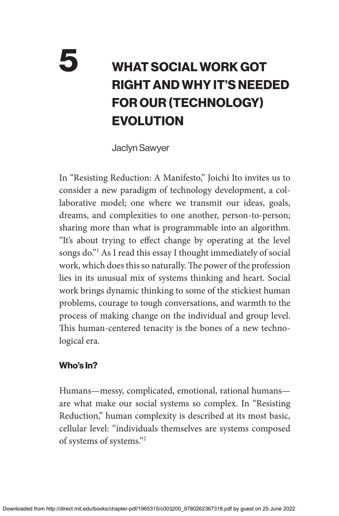# 5

# WHAT SOCIAL WORK GOT RIGHT AND WHY IT'S NEEDED FOR OUR (TECHNOLOGY) EVOLUTION

Jaclyn Sawyer

In "Resisting Reduction: A Manifesto," Joichi Ito invites us to consider a new paradigm of technology development, a collaborative model; one where we transmit our ideas, goals, dreams, and complexities to one another, person-to-person; sharing more than what is programmable into an algorithm. "It's about trying to effect change by operating at the level songs do."<sup>1</sup> As I read this essay I thought immediately of social work, which does this so naturally. The power of the profession lies in its unusual mix of systems thinking and heart. Social work brings dynamic thinking to some of the stickiest human problems, courage to tough conversations, and warmth to the process of making change on the individual and group level. This human-centered tenacity is the bones of a new technological era.

## Who's In?

Humans—messy, complicated, emotional, rational humans are what make our social systems so complex. In "Resisting Reduction," human complexity is described at its most basic, cellular level: "individuals themselves are systems composed of systems of systems."2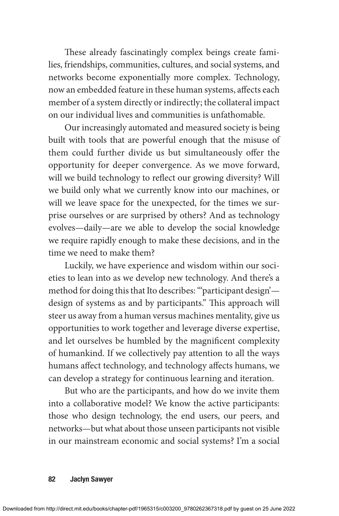These already fascinatingly complex beings create families, friendships, communities, cultures, and social systems, and networks become exponentially more complex. Technology, now an embedded feature in these human systems, affects each member of a system directly or indirectly; the collateral impact on our individual lives and communities is unfathomable.

Our increasingly automated and measured society is being built with tools that are powerful enough that the misuse of them could further divide us but simultaneously offer the opportunity for deeper convergence. As we move forward, will we build technology to reflect our growing diversity? Will we build only what we currently know into our machines, or will we leave space for the unexpected, for the times we surprise ourselves or are surprised by others? And as technology evolves—daily—are we able to develop the social knowledge we require rapidly enough to make these decisions, and in the time we need to make them?

Luckily, we have experience and wisdom within our societies to lean into as we develop new technology. And there's a method for doing this that Ito describes: "participant design'design of systems as and by participants." This approach will steer us away from a human versus machines mentality, give us opportunities to work together and leverage diverse expertise, and let ourselves be humbled by the magnificent complexity of humankind. If we collectively pay attention to all the ways humans affect technology, and technology affects humans, we can develop a strategy for continuous learning and iteration.

But who are the participants, and how do we invite them into a collaborative model? We know the active participants: those who design technology, the end users, our peers, and networks—but what about those unseen participants not visible in our mainstream economic and social systems? I'm a social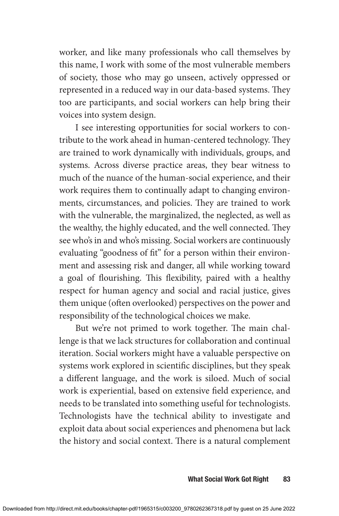worker, and like many professionals who call themselves by this name, I work with some of the most vulnerable members of society, those who may go unseen, actively oppressed or represented in a reduced way in our data-based systems. They too are participants, and social workers can help bring their voices into system design.

I see interesting opportunities for social workers to contribute to the work ahead in human-centered technology. They are trained to work dynamically with individuals, groups, and systems. Across diverse practice areas, they bear witness to much of the nuance of the human-social experience, and their work requires them to continually adapt to changing environments, circumstances, and policies. They are trained to work with the vulnerable, the marginalized, the neglected, as well as the wealthy, the highly educated, and the well connected. They see who's in and who's missing. Social workers are continuously evaluating "goodness of fit" for a person within their environment and assessing risk and danger, all while working toward a goal of flourishing. This flexibility, paired with a healthy respect for human agency and social and racial justice, gives them unique (often overlooked) perspectives on the power and responsibility of the technological choices we make.

But we're not primed to work together. The main challenge is that we lack structures for collaboration and continual iteration. Social workers might have a valuable perspective on systems work explored in scientific disciplines, but they speak a different language, and the work is siloed. Much of social work is experiential, based on extensive field experience, and needs to be translated into something useful for technologists. Technologists have the technical ability to investigate and exploit data about social experiences and phenomena but lack the history and social context. There is a natural complement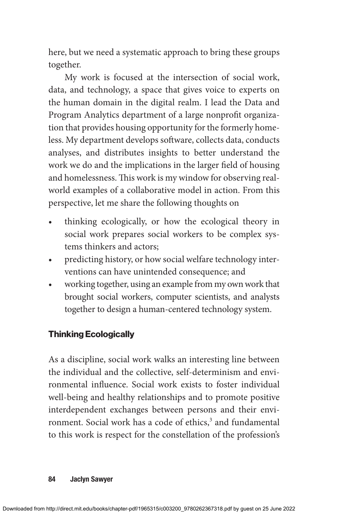here, but we need a systematic approach to bring these groups together.

My work is focused at the intersection of social work, data, and technology, a space that gives voice to experts on the human domain in the digital realm. I lead the Data and Program Analytics department of a large nonprofit organization that provides housing opportunity for the formerly homeless. My department develops software, collects data, conducts analyses, and distributes insights to better understand the work we do and the implications in the larger field of housing and homelessness. This work is my window for observing realworld examples of a collaborative model in action. From this perspective, let me share the following thoughts on

- thinking ecologically, or how the ecological theory in social work prepares social workers to be complex systems thinkers and actors;
- predicting history, or how social welfare technology interventions can have unintended consequence; and
- working together, using an example from my own work that brought social workers, computer scientists, and analysts together to design a human-centered technology system.

## Thinking Ecologically

As a discipline, social work walks an interesting line between the individual and the collective, self-determinism and environmental influence. Social work exists to foster individual well-being and healthy relationships and to promote positive interdependent exchanges between persons and their environment. Social work has a code of ethics,<sup>3</sup> and fundamental to this work is respect for the constellation of the profession's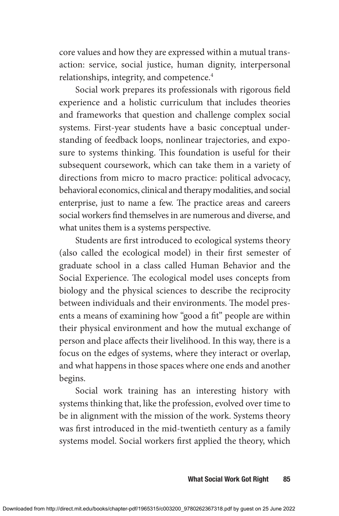core values and how they are expressed within a mutual transaction: service, social justice, human dignity, interpersonal relationships, integrity, and competence.<sup>4</sup>

Social work prepares its professionals with rigorous field experience and a holistic curriculum that includes theories and frameworks that question and challenge complex social systems. First-year students have a basic conceptual understanding of feedback loops, nonlinear trajectories, and exposure to systems thinking. This foundation is useful for their subsequent coursework, which can take them in a variety of directions from micro to macro practice: political advocacy, behavioral economics, clinical and therapy modalities, and social enterprise, just to name a few. The practice areas and careers social workers find themselves in are numerous and diverse, and what unites them is a systems perspective.

Students are first introduced to ecological systems theory (also called the ecological model) in their first semester of graduate school in a class called Human Behavior and the Social Experience. The ecological model uses concepts from biology and the physical sciences to describe the reciprocity between individuals and their environments. The model presents a means of examining how "good a fit" people are within their physical environment and how the mutual exchange of person and place affects their livelihood. In this way, there is a focus on the edges of systems, where they interact or overlap, and what happens in those spaces where one ends and another begins.

Social work training has an interesting history with systems thinking that, like the profession, evolved over time to be in alignment with the mission of the work. Systems theory was first introduced in the mid-twentieth century as a family systems model. Social workers first applied the theory, which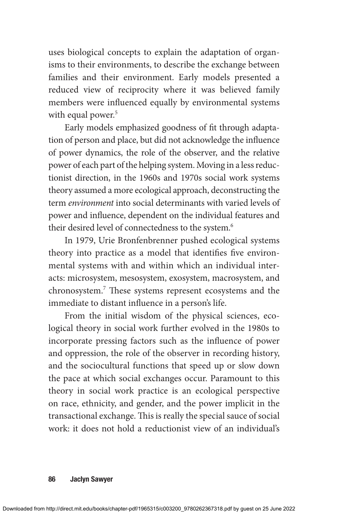uses biological concepts to explain the adaptation of organisms to their environments, to describe the exchange between families and their environment. Early models presented a reduced view of reciprocity where it was believed family members were influenced equally by environmental systems with equal power.<sup>5</sup>

Early models emphasized goodness of fit through adaptation of person and place, but did not acknowledge the influence of power dynamics, the role of the observer, and the relative power of each part of the helping system. Moving in a less reductionist direction, in the 1960s and 1970s social work systems theory assumed a more ecological approach, deconstructing the term *environment* into social determinants with varied levels of power and influence, dependent on the individual features and their desired level of connectedness to the system.<sup>6</sup>

In 1979, Urie Bronfenbrenner pushed ecological systems theory into practice as a model that identifies five environmental systems with and within which an individual interacts: microsystem, mesosystem, exosystem, macrosystem, and chronosystem.7 These systems represent ecosystems and the immediate to distant influence in a person's life.

From the initial wisdom of the physical sciences, ecological theory in social work further evolved in the 1980s to incorporate pressing factors such as the influence of power and oppression, the role of the observer in recording history, and the sociocultural functions that speed up or slow down the pace at which social exchanges occur. Paramount to this theory in social work practice is an ecological perspective on race, ethnicity, and gender, and the power implicit in the transactional exchange. This is really the special sauce of social work: it does not hold a reductionist view of an individual's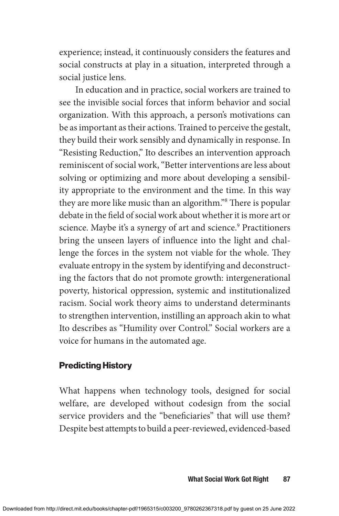experience; instead, it continuously considers the features and social constructs at play in a situation, interpreted through a social justice lens.

In education and in practice, social workers are trained to see the invisible social forces that inform behavior and social organization. With this approach, a person's motivations can be as important as their actions. Trained to perceive the gestalt, they build their work sensibly and dynamically in response. In "Resisting Reduction," Ito describes an intervention approach reminiscent of social work, "Better interventions are less about solving or optimizing and more about developing a sensibility appropriate to the environment and the time. In this way they are more like music than an algorithm."8 There is popular debate in the field of social work about whether it is more art or science. Maybe it's a synergy of art and science.<sup>9</sup> Practitioners bring the unseen layers of influence into the light and challenge the forces in the system not viable for the whole. They evaluate entropy in the system by identifying and deconstructing the factors that do not promote growth: intergenerational poverty, historical oppression, systemic and institutionalized racism. Social work theory aims to understand determinants to strengthen intervention, instilling an approach akin to what Ito describes as "Humility over Control." Social workers are a voice for humans in the automated age.

#### Predicting History

What happens when technology tools, designed for social welfare, are developed without codesign from the social service providers and the "beneficiaries" that will use them? Despite best attempts to build a peer-reviewed, evidenced-based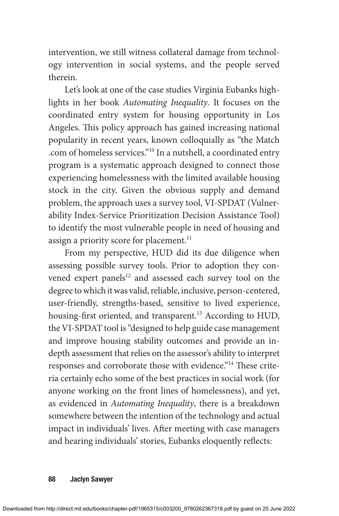intervention, we still witness collateral damage from technology intervention in social systems, and the people served therein.

Let's look at one of the case studies Virginia Eubanks highlights in her book *Automating Inequality*. It focuses on the coordinated entry system for housing opportunity in Los Angeles. This policy approach has gained increasing national popularity in recent years, known colloquially as "the Match .com of homeless services."10 In a nutshell, a coordinated entry program is a systematic approach designed to connect those experiencing homelessness with the limited available housing stock in the city. Given the obvious supply and demand problem, the approach uses a survey tool, VI-SPDAT (Vulnerability Index-Service Prioritization Decision Assistance Tool) to identify the most vulnerable people in need of housing and assign a priority score for placement.<sup>11</sup>

From my perspective, HUD did its due diligence when assessing possible survey tools. Prior to adoption they convened expert panels<sup>12</sup> and assessed each survey tool on the degree to which it was valid, reliable, inclusive, person-centered, user-friendly, strengths-based, sensitive to lived experience, housing-first oriented, and transparent.<sup>13</sup> According to HUD, the VI-SPDAT tool is "designed to help guide case management and improve housing stability outcomes and provide an indepth assessment that relies on the assessor's ability to interpret responses and corroborate those with evidence."14 These criteria certainly echo some of the best practices in social work (for anyone working on the front lines of homelessness), and yet, as evidenced in *Automating Inequality*, there is a breakdown somewhere between the intention of the technology and actual impact in individuals' lives. After meeting with case managers and hearing individuals' stories, Eubanks eloquently reflects: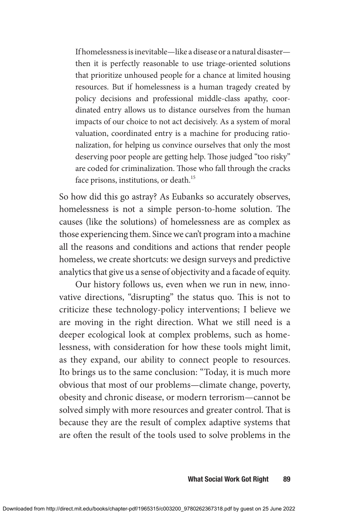If homelessness is inevitable—like a disease or a natural disaster then it is perfectly reasonable to use triage-oriented solutions that prioritize unhoused people for a chance at limited housing resources. But if homelessness is a human tragedy created by policy decisions and professional middle-class apathy, coordinated entry allows us to distance ourselves from the human impacts of our choice to not act decisively. As a system of moral valuation, coordinated entry is a machine for producing rationalization, for helping us convince ourselves that only the most deserving poor people are getting help. Those judged "too risky" are coded for criminalization. Those who fall through the cracks face prisons, institutions, or death.<sup>15</sup>

So how did this go astray? As Eubanks so accurately observes, homelessness is not a simple person-to-home solution. The causes (like the solutions) of homelessness are as complex as those experiencing them. Since we can't program into a machine all the reasons and conditions and actions that render people homeless, we create shortcuts: we design surveys and predictive analytics that give us a sense of objectivity and a facade of equity.

Our history follows us, even when we run in new, innovative directions, "disrupting" the status quo. This is not to criticize these technology-policy interventions; I believe we are moving in the right direction. What we still need is a deeper ecological look at complex problems, such as homelessness, with consideration for how these tools might limit, as they expand, our ability to connect people to resources. Ito brings us to the same conclusion: "Today, it is much more obvious that most of our problems—climate change, poverty, obesity and chronic disease, or modern terrorism—cannot be solved simply with more resources and greater control. That is because they are the result of complex adaptive systems that are often the result of the tools used to solve problems in the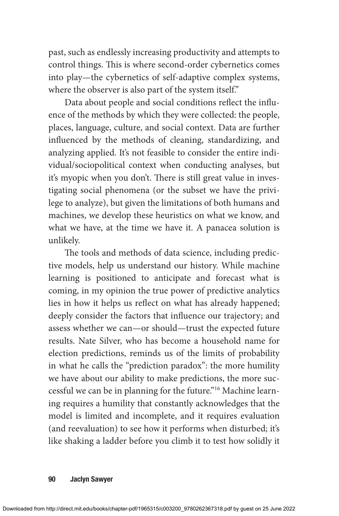past, such as endlessly increasing productivity and attempts to control things. This is where second-order cybernetics comes into play—the cybernetics of self-adaptive complex systems, where the observer is also part of the system itself."

Data about people and social conditions reflect the influence of the methods by which they were collected: the people, places, language, culture, and social context. Data are further influenced by the methods of cleaning, standardizing, and analyzing applied. It's not feasible to consider the entire individual/sociopolitical context when conducting analyses, but it's myopic when you don't. There is still great value in investigating social phenomena (or the subset we have the privilege to analyze), but given the limitations of both humans and machines, we develop these heuristics on what we know, and what we have, at the time we have it. A panacea solution is unlikely.

The tools and methods of data science, including predictive models, help us understand our history. While machine learning is positioned to anticipate and forecast what is coming, in my opinion the true power of predictive analytics lies in how it helps us reflect on what has already happened; deeply consider the factors that influence our trajectory; and assess whether we can—or should—trust the expected future results. Nate Silver, who has become a household name for election predictions, reminds us of the limits of probability in what he calls the "prediction paradox": the more humility we have about our ability to make predictions, the more successful we can be in planning for the future."16 Machine learning requires a humility that constantly acknowledges that the model is limited and incomplete, and it requires evaluation (and reevaluation) to see how it performs when disturbed; it's like shaking a ladder before you climb it to test how solidly it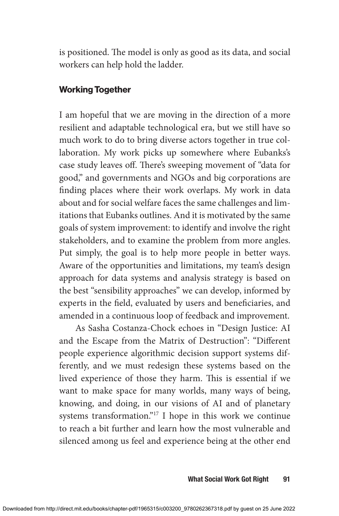is positioned. The model is only as good as its data, and social workers can help hold the ladder.

#### Working Together

I am hopeful that we are moving in the direction of a more resilient and adaptable technological era, but we still have so much work to do to bring diverse actors together in true collaboration. My work picks up somewhere where Eubanks's case study leaves off. There's sweeping movement of "data for good," and governments and NGOs and big corporations are finding places where their work overlaps. My work in data about and for social welfare faces the same challenges and limitations that Eubanks outlines. And it is motivated by the same goals of system improvement: to identify and involve the right stakeholders, and to examine the problem from more angles. Put simply, the goal is to help more people in better ways. Aware of the opportunities and limitations, my team's design approach for data systems and analysis strategy is based on the best "sensibility approaches" we can develop, informed by experts in the field, evaluated by users and beneficiaries, and amended in a continuous loop of feedback and improvement.

As Sasha Costanza-Chock echoes in "Design Justice: AI and the Escape from the Matrix of Destruction": "Different people experience algorithmic decision support systems differently, and we must redesign these systems based on the lived experience of those they harm. This is essential if we want to make space for many worlds, many ways of being, knowing, and doing, in our visions of AI and of planetary systems transformation."17 I hope in this work we continue to reach a bit further and learn how the most vulnerable and silenced among us feel and experience being at the other end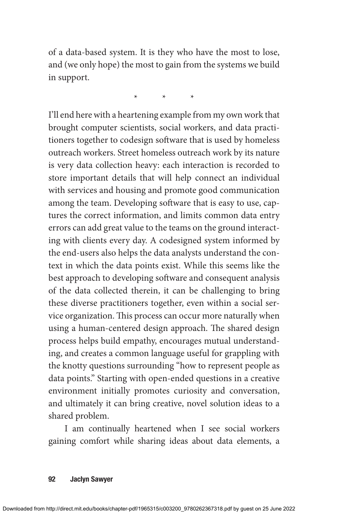of a data-based system. It is they who have the most to lose, and (we only hope) the most to gain from the systems we build in support.

\*\*\*

I'll end here with a heartening example from my own work that brought computer scientists, social workers, and data practitioners together to codesign software that is used by homeless outreach workers. Street homeless outreach work by its nature is very data collection heavy: each interaction is recorded to store important details that will help connect an individual with services and housing and promote good communication among the team. Developing software that is easy to use, captures the correct information, and limits common data entry errors can add great value to the teams on the ground interacting with clients every day. A codesigned system informed by the end-users also helps the data analysts understand the context in which the data points exist. While this seems like the best approach to developing software and consequent analysis of the data collected therein, it can be challenging to bring these diverse practitioners together, even within a social service organization. This process can occur more naturally when using a human-centered design approach. The shared design process helps build empathy, encourages mutual understanding, and creates a common language useful for grappling with the knotty questions surrounding "how to represent people as data points." Starting with open-ended questions in a creative environment initially promotes curiosity and conversation, and ultimately it can bring creative, novel solution ideas to a shared problem.

I am continually heartened when I see social workers gaining comfort while sharing ideas about data elements, a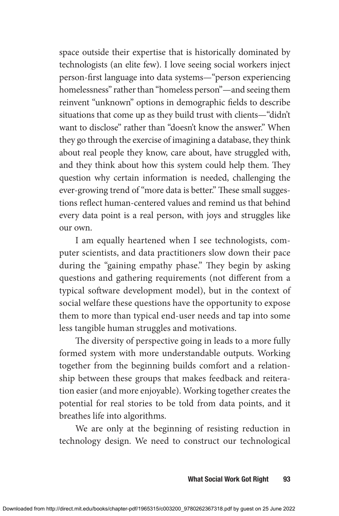space outside their expertise that is historically dominated by technologists (an elite few). I love seeing social workers inject person-first language into data systems—"person experiencing homelessness" rather than "homeless person"—and seeing them reinvent "unknown" options in demographic fields to describe situations that come up as they build trust with clients—"didn't want to disclose" rather than "doesn't know the answer." When they go through the exercise of imagining a database, they think about real people they know, care about, have struggled with, and they think about how this system could help them. They question why certain information is needed, challenging the ever-growing trend of "more data is better." These small suggestions reflect human-centered values and remind us that behind every data point is a real person, with joys and struggles like our own.

I am equally heartened when I see technologists, computer scientists, and data practitioners slow down their pace during the "gaining empathy phase." They begin by asking questions and gathering requirements (not different from a typical software development model), but in the context of social welfare these questions have the opportunity to expose them to more than typical end-user needs and tap into some less tangible human struggles and motivations.

The diversity of perspective going in leads to a more fully formed system with more understandable outputs. Working together from the beginning builds comfort and a relationship between these groups that makes feedback and reiteration easier (and more enjoyable). Working together creates the potential for real stories to be told from data points, and it breathes life into algorithms.

We are only at the beginning of resisting reduction in technology design. We need to construct our technological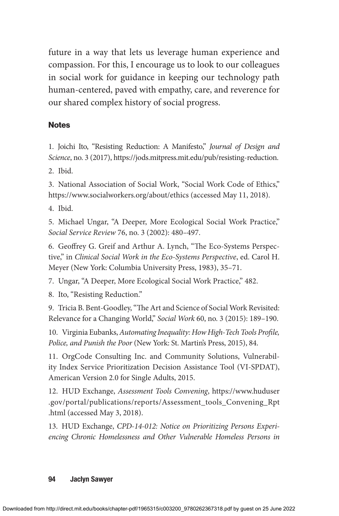future in a way that lets us leverage human experience and compassion. For this, I encourage us to look to our colleagues in social work for guidance in keeping our technology path human-centered, paved with empathy, care, and reverence for our shared complex history of social progress.

#### Notes

1. Joichi Ito, "Resisting Reduction: A Manifesto," *Journal of Design and Science*, no. 3 (2017), [https://jods.mitpress.mit.edu/pub/resisting-reduction.](https://jods.mitpress.mit.edu/pub/resisting-reduction)

2. Ibid.

3. National Association of Social Work, "Social Work Code of Ethics," <https://www.socialworkers.org/about/ethics>(accessed May 11, 2018).

4. Ibid.

5. Michael Ungar, "A Deeper, More Ecological Social Work Practice," *Social Service Review* 76, no. 3 (2002): 480–497.

6. Geoffrey G. Greif and Arthur A. Lynch, "The Eco-Systems Perspective," in *Clinical Social Work in the Eco-Systems Perspective*, ed. Carol H. Meyer (New York: Columbia University Press, 1983), 35–71.

7. Ungar, "A Deeper, More Ecological Social Work Practice," 482.

8. Ito, "Resisting Reduction."

9. Tricia B. Bent-Goodley, "The Art and Science of Social Work Revisited: Relevance for a Changing World," *Social Work* 60, no. 3 (2015): 189–190.

10. Virginia Eubanks, *Automating Inequality: How High-Tech Tools Profile, Police, and Punish the Poor* (New York: St. Martin's Press, 2015), 84.

11. OrgCode Consulting Inc. and Community Solutions, Vulnerability Index Service Prioritization Decision Assistance Tool (VI-SPDAT), American Version 2.0 for Single Adults, 2015.

12. HUD Exchange, *Assessment Tools Convening*, [https://www.huduser](https://www.huduser.gov/portal/publications/reports/Assessment_tools_Convening_Rpt.html) [.gov/portal/publications/reports/Assessment\\_tools\\_Convening\\_Rpt](https://www.huduser.gov/portal/publications/reports/Assessment_tools_Convening_Rpt.html) [.html](https://www.huduser.gov/portal/publications/reports/Assessment_tools_Convening_Rpt.html) (accessed May 3, 2018).

13. HUD Exchange, *CPD-14-012: Notice on Prioritizing Persons Experiencing Chronic Homelessness and Other Vulnerable Homeless Persons in* 

#### 94 Jaclyn Sawyer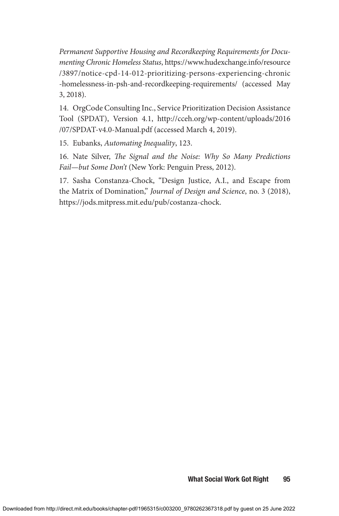*Permanent Supportive Housing and Recordkeeping Requirements for Documenting Chronic Homeless Status*, [https://www.hudexchange.info/resource](https://www.hudexchange.info/resource/3897/notice-cpd-14-012-prioritizing-persons-experiencing-chronic-homelessness-in-psh-and-recordkeeping-requirements/) [/3897/notice-cpd-14-012-prioritizing-persons-experiencing-chronic](https://www.hudexchange.info/resource/3897/notice-cpd-14-012-prioritizing-persons-experiencing-chronic-homelessness-in-psh-and-recordkeeping-requirements/) [-homelessness-in-psh-and-recordkeeping-requirements/](https://www.hudexchange.info/resource/3897/notice-cpd-14-012-prioritizing-persons-experiencing-chronic-homelessness-in-psh-and-recordkeeping-requirements/) (accessed May 3, 2018).

14. OrgCode Consulting Inc., Service Prioritization Decision Assistance Tool (SPDAT), Version 4.1, [http://cceh.org/wp-content/uploads/2016](http://cceh.org/wp-content/uploads/2016/07/SPDAT-v4.0-Manual.pdf) [/07/SPDAT-v4.0-Manual.pdf](http://cceh.org/wp-content/uploads/2016/07/SPDAT-v4.0-Manual.pdf) (accessed March 4, 2019).

15. Eubanks, *Automating Inequality*, 123.

16. Nate Silver, *The Signal and the Noise: Why So Many Predictions Fail—but Some Don't* (New York: Penguin Press, 2012).

17. Sasha Constanza-Chock, "Design Justice, A.I., and Escape from the Matrix of Domination," *Journal of Design and Science*, no. 3 (2018), [https://jods.mitpress.mit.edu/pub/costanza-chock.](https://jods.mitpress.mit.edu/pub/costanza-chock)

#### What Social Work Got Right 95